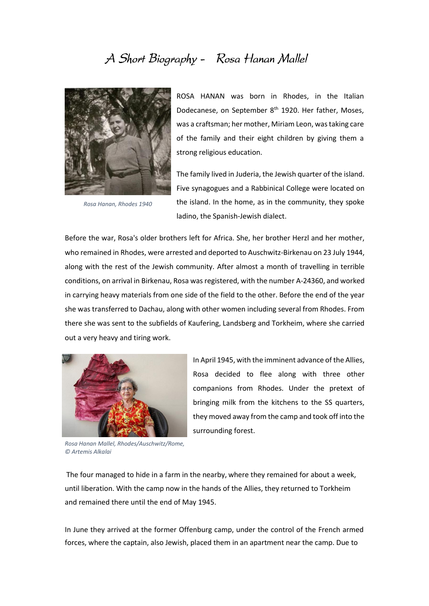## A Short Biography - Rosa Hanan Mallel



*Rosa Hanan, Rhodes 1940*

ROSA HANAN was born in Rhodes, in the Italian Dodecanese, on September 8<sup>th</sup> 1920. Her father, Moses, was a craftsman; her mother, Miriam Leon, was taking care of the family and their eight children by giving them a strong religious education.

The family lived in Juderia, the Jewish quarter of the island. Five synagogues and a Rabbinical College were located on the island. In the home, as in the community, they spoke ladino, the Spanish-Jewish dialect.

Before the war, Rosa's older brothers left for Africa. She, her brother Herzl and her mother, who remained in Rhodes, were arrested and deported to Auschwitz-Birkenau on 23 July 1944, along with the rest of the Jewish community. After almost a month of travelling in terrible conditions, on arrival in Birkenau, Rosa was registered, with the number A-24360, and worked in carrying heavy materials from one side of the field to the other. Before the end of the year she was transferred to Dachau, along with other women including several from Rhodes. From there she was sent to the subfields of Kaufering, Landsberg and Torkheim, where she carried out a very heavy and tiring work.



*Rosa Hanan Mallel, Rhodes/Auschwitz/Rome, © Artemis Alkalai* 

In April 1945, with the imminent advance of the Allies, Rosa decided to flee along with three other companions from Rhodes. Under the pretext of bringing milk from the kitchens to the SS quarters, they moved away from the camp and took off into the surrounding forest.

The four managed to hide in a farm in the nearby, where they remained for about a week, until liberation. With the camp now in the hands of the Allies, they returned to Torkheim and remained there until the end of May 1945.

In June they arrived at the former Offenburg camp, under the control of the French armed forces, where the captain, also Jewish, placed them in an apartment near the camp. Due to